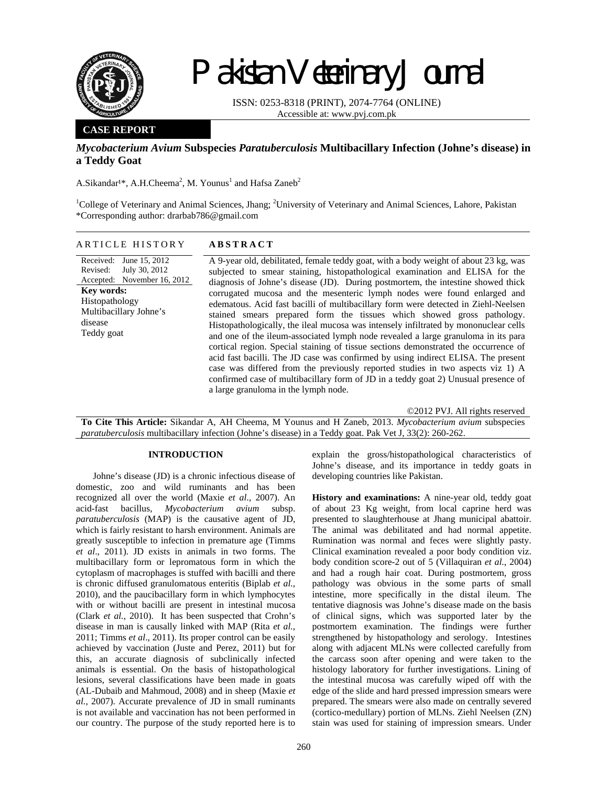

# Pakistan Veterinary Journal

ISSN: 0253-8318 (PRINT), 2074-7764 (ONLINE) Accessible at: www.pvj.com.pk

### **CASE REPORT**

## *Mycobacterium Avium* **Subspecies** *Paratuberculosis* **Multibacillary Infection (Johne's disease) in a Teddy Goat**

A.Sikandar<sup>1\*</sup>, A.H.Cheema<sup>2</sup>, M. Younus<sup>1</sup> and Hafsa Zaneb<sup>2</sup>

<sup>1</sup>College of Veterinary and Animal Sciences, Jhang; <sup>2</sup>University of Veterinary and Animal Sciences, Lahore, Pakistan \*Corresponding author: drarbab786@gmail.com

#### ARTICLE HISTORY **ABSTRACT**

Received: June 15, 2012 Revised: Accepted: July 30, 2012 November 16, 2012 **Key words:**  Histopathology Multibacillary Johne's disease Teddy goat

A 9-year old, debilitated, female teddy goat, with a body weight of about 23 kg, was subjected to smear staining, histopathological examination and ELISA for the diagnosis of Johne's disease (JD). During postmortem, the intestine showed thick corrugated mucosa and the mesenteric lymph nodes were found enlarged and edematous. Acid fast bacilli of multibacillary form were detected in Ziehl-Neelsen stained smears prepared form the tissues which showed gross pathology. Histopathologically, the ileal mucosa was intensely infiltrated by mononuclear cells and one of the ileum-associated lymph node revealed a large granuloma in its para cortical region. Special staining of tissue sections demonstrated the occurrence of acid fast bacilli. The JD case was confirmed by using indirect ELISA. The present case was differed from the previously reported studies in two aspects viz 1) A confirmed case of multibacillary form of JD in a teddy goat 2) Unusual presence of a large granuloma in the lymph node.

©2012 PVJ. All rights reserved

**To Cite This Article:** Sikandar A, AH Cheema, M Younus and H Zaneb, 2013. *Mycobacterium avium* subspecies *paratuberculosis* multibacillary infection (Johne's disease) in a Teddy goat. Pak Vet J, 33(2): 260-262.

#### **INTRODUCTION**

Johne's disease (JD) is a chronic infectious disease of domestic, zoo and wild ruminants and has been recognized all over the world (Maxie *et al.*, 2007). An acid-fast bacillus, *Mycobacterium avium* subsp. *paratuberculosis* (MAP) is the causative agent of JD, which is fairly resistant to harsh environment. Animals are greatly susceptible to infection in premature age (Timms *et al*., 2011). JD exists in animals in two forms. The multibacillary form or lepromatous form in which the cytoplasm of macrophages is stuffed with bacilli and there is chronic diffused granulomatous enteritis (Biplab *et al.*, 2010), and the paucibacillary form in which lymphocytes with or without bacilli are present in intestinal mucosa (Clark *et al.,* 2010). It has been suspected that Crohn's disease in man is causally linked with MAP (Rita *et al.,*  2011; Timms *et al*., 2011). Its proper control can be easily achieved by vaccination (Juste and Perez, 2011) but for this, an accurate diagnosis of subclinically infected animals is essential. On the basis of histopathological lesions, several classifications have been made in goats (AL-Dubaib and Mahmoud, 2008) and in sheep (Maxie *et al.,* 2007). Accurate prevalence of JD in small ruminants is not available and vaccination has not been performed in our country. The purpose of the study reported here is to

explain the gross/histopathological characteristics of Johne's disease, and its importance in teddy goats in developing countries like Pakistan.

**History and examinations:** A nine-year old, teddy goat of about 23 Kg weight, from local caprine herd was presented to slaughterhouse at Jhang municipal abattoir. The animal was debilitated and had normal appetite. Rumination was normal and feces were slightly pasty. Clinical examination revealed a poor body condition viz. body condition score-2 out of 5 (Villaquiran *et al.*, 2004) and had a rough hair coat. During postmortem, gross pathology was obvious in the some parts of small intestine, more specifically in the distal ileum. The tentative diagnosis was Johne's disease made on the basis of clinical signs, which was supported later by the postmortem examination. The findings were further strengthened by histopathology and serology. Intestines along with adjacent MLNs were collected carefully from the carcass soon after opening and were taken to the histology laboratory for further investigations. Lining of the intestinal mucosa was carefully wiped off with the edge of the slide and hard pressed impression smears were prepared. The smears were also made on centrally severed (cortico-medullary) portion of MLNs. Ziehl Neelsen (ZN) stain was used for staining of impression smears. Under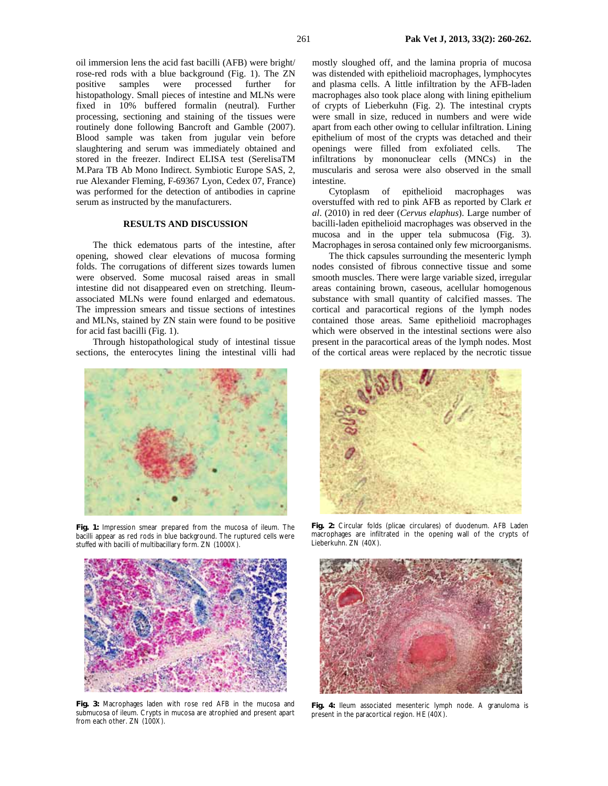oil immersion lens the acid fast bacilli (AFB) were bright/ rose-red rods with a blue background (Fig. 1). The ZN positive samples were processed further for histopathology. Small pieces of intestine and MLNs were fixed in 10% buffered formalin (neutral). Further processing, sectioning and staining of the tissues were routinely done following Bancroft and Gamble (2007). Blood sample was taken from jugular vein before slaughtering and serum was immediately obtained and stored in the freezer. Indirect ELISA test (SerelisaTM M.Para TB Ab Mono Indirect. Symbiotic Europe SAS, 2, rue Alexander Fleming, F-69367 Lyon, Cedex 07, France) was performed for the detection of antibodies in caprine serum as instructed by the manufacturers.

#### **RESULTS AND DISCUSSION**

The thick edematous parts of the intestine, after opening, showed clear elevations of mucosa forming folds. The corrugations of different sizes towards lumen were observed. Some mucosal raised areas in small intestine did not disappeared even on stretching. Ileumassociated MLNs were found enlarged and edematous. The impression smears and tissue sections of intestines and MLNs, stained by ZN stain were found to be positive for acid fast bacilli (Fig. 1).

Through histopathological study of intestinal tissue sections, the enterocytes lining the intestinal villi had



**Fig. 1:** Impression smear prepared from the mucosa of ileum. The bacilli appear as red rods in blue background. The ruptured cells were stuffed with bacilli of multibacillary form. ZN (1000X).



**Fig. 3:** Macrophages laden with rose red AFB in the mucosa and submucosa of ileum. Crypts in mucosa are atrophied and present apart from each other. ZN (100X).

mostly sloughed off, and the lamina propria of mucosa was distended with epithelioid macrophages, lymphocytes and plasma cells. A little infiltration by the AFB-laden macrophages also took place along with lining epithelium of crypts of Lieberkuhn (Fig. 2). The intestinal crypts were small in size, reduced in numbers and were wide apart from each other owing to cellular infiltration. Lining epithelium of most of the crypts was detached and their openings were filled from exfoliated cells. The infiltrations by mononuclear cells (MNCs) in the muscularis and serosa were also observed in the small intestine.

Cytoplasm of epithelioid macrophages overstuffed with red to pink AFB as reported by Clark *et al*. (2010) in red deer (*Cervus elaphus*). Large number of bacilli-laden epithelioid macrophages was observed in the mucosa and in the upper tela submucosa (Fig. 3). Macrophages in serosa contained only few microorganisms.

The thick capsules surrounding the mesenteric lymph nodes consisted of fibrous connective tissue and some smooth muscles. There were large variable sized, irregular areas containing brown, caseous, acellular homogenous substance with small quantity of calcified masses. The cortical and paracortical regions of the lymph nodes contained those areas. Same epithelioid macrophages which were observed in the intestinal sections were also present in the paracortical areas of the lymph nodes. Most of the cortical areas were replaced by the necrotic tissue



**Fig. 2:** Circular folds (plicae circulares) of duodenum. AFB Laden macrophages are infiltrated in the opening wall of the crypts of Lieberkuhn. ZN (40X).



**Fig. 4:** Ileum associated mesenteric lymph node. A granuloma is present in the paracortical region. HE (40X).